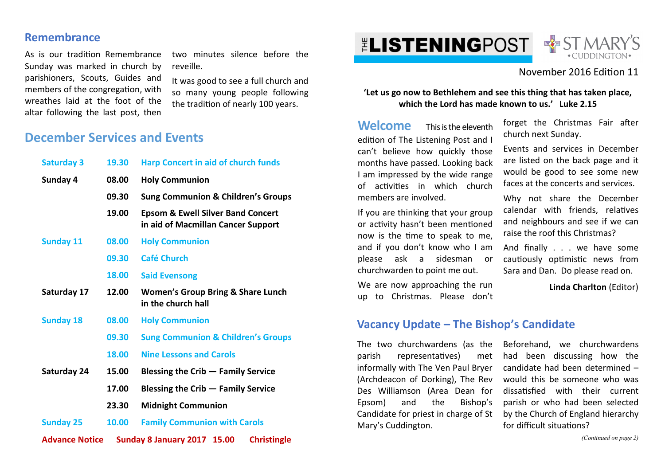#### **Remembrance**

As is our tradition Remembrance Sunday was marked in church by parishioners, Scouts, Guides and members of the congregation, with wreathes laid at the foot of the altar following the last post, then

two minutes silence before the reveille.

It was good to see a full church and so many young people following the tradition of nearly 100 years.

## **December Services and Events**

| <b>Saturday 3</b>     | 19.30 | <b>Harp Concert in aid of church funds</b>                                         |
|-----------------------|-------|------------------------------------------------------------------------------------|
| Sunday 4              | 08.00 | <b>Holy Communion</b>                                                              |
|                       | 09.30 | <b>Sung Communion &amp; Children's Groups</b>                                      |
|                       | 19.00 | <b>Epsom &amp; Ewell Silver Band Concert</b><br>in aid of Macmillan Cancer Support |
| <b>Sunday 11</b>      | 08.00 | <b>Holy Communion</b>                                                              |
|                       | 09.30 | <b>Café Church</b>                                                                 |
|                       | 18.00 | <b>Said Evensong</b>                                                               |
| Saturday 17           | 12.00 | <b>Women's Group Bring &amp; Share Lunch</b><br>in the church hall                 |
| <b>Sunday 18</b>      | 08.00 | <b>Holy Communion</b>                                                              |
|                       | 09.30 | <b>Sung Communion &amp; Children's Groups</b>                                      |
|                       | 18.00 | <b>Nine Lessons and Carols</b>                                                     |
| Saturday 24           | 15.00 | <b>Blessing the Crib – Family Service</b>                                          |
|                       | 17.00 | Blessing the Crib - Family Service                                                 |
|                       | 23.30 | <b>Midnight Communion</b>                                                          |
| <b>Sunday 25</b>      | 10.00 | <b>Family Communion with Carols</b>                                                |
| <b>Advance Notice</b> |       | Sunday 8 January 2017 15.00<br><b>Christingle</b>                                  |

# **ELISTENINGPOST**



#### November 2016 Edion 11

**'Let us go now to Bethlehem and see this thing that has taken place, which the Lord has made known to us.' Luke 2.15** 

**Welcome** This is the eleventh edition of The Listening Post and I can't believe how quickly those months have passed. Looking back I am impressed by the wide range of activities in which church members are involved.

If you are thinking that your group or activity hasn't been mentioned now is the time to speak to me, and if you don't know who I am please ask a sidesman or churchwarden to point me out.

We are now approaching the run up to Christmas. Please don't forget the Christmas Fair after church next Sunday.

Events and services in December are listed on the back page and it would be good to see some new faces at the concerts and services.

Why not share the December calendar with friends, relatives and neighbours and see if we can raise the roof this Christmas?

And finally . . . we have some cautiously optimistic news from Sara and Dan. Do please read on.

**Linda Charlton** (Editor)

**Vacancy Update – The Bishop's Candidate**

The two churchwardens (as the parish representatives) met informally with The Ven Paul Bryer (Archdeacon of Dorking), The Rev Des Williamson (Area Dean for Epsom) and the Bishop's Candidate for priest in charge of St Mary's Cuddington.

Beforehand, we churchwardens had been discussing how the candidate had been determined – would this be someone who was dissatisfied with their current parish or who had been selected by the Church of England hierarchy for difficult situations?